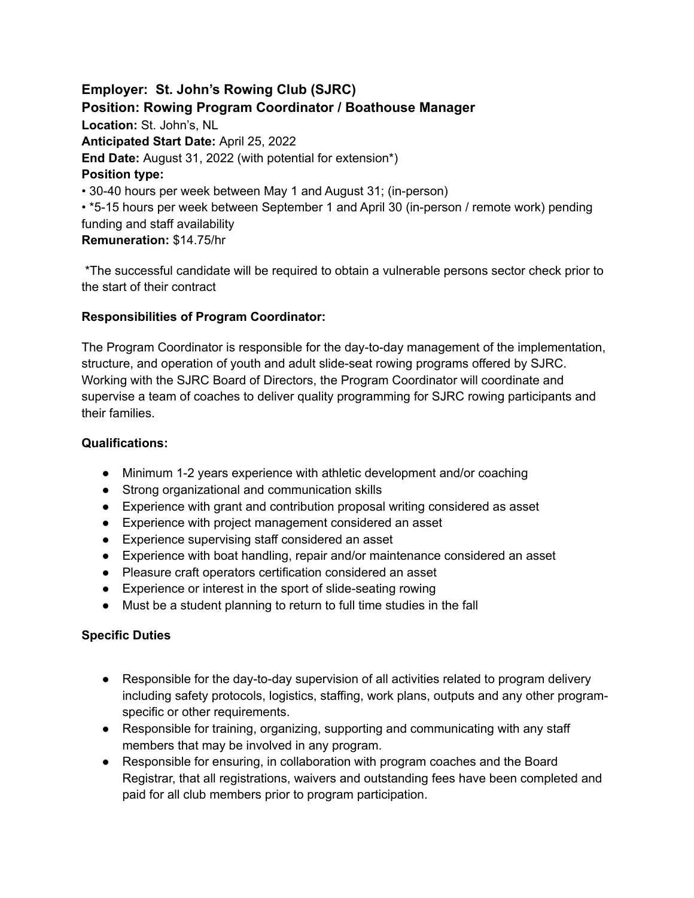**Employer: St. John's Rowing Club (SJRC) Position: Rowing Program Coordinator / Boathouse Manager Location:** St. John's, NL **Anticipated Start Date:** April 25, 2022 **End Date:** August 31, 2022 (with potential for extension\*) **Position type:** • 30-40 hours per week between May 1 and August 31; (in-person) • \*5-15 hours per week between September 1 and April 30 (in-person / remote work) pending funding and staff availability **Remuneration:** \$14.75/hr

\*The successful candidate will be required to obtain a vulnerable persons sector check prior to the start of their contract

## **Responsibilities of Program Coordinator:**

The Program Coordinator is responsible for the day-to-day management of the implementation, structure, and operation of youth and adult slide-seat rowing programs offered by SJRC. Working with the SJRC Board of Directors, the Program Coordinator will coordinate and supervise a team of coaches to deliver quality programming for SJRC rowing participants and their families.

### **Qualifications:**

- Minimum 1-2 years experience with athletic development and/or coaching
- Strong organizational and communication skills
- Experience with grant and contribution proposal writing considered as asset
- Experience with project management considered an asset
- Experience supervising staff considered an asset
- Experience with boat handling, repair and/or maintenance considered an asset
- Pleasure craft operators certification considered an asset
- Experience or interest in the sport of slide-seating rowing
- Must be a student planning to return to full time studies in the fall

#### **Specific Duties**

- Responsible for the day-to-day supervision of all activities related to program delivery including safety protocols, logistics, staffing, work plans, outputs and any other programspecific or other requirements.
- Responsible for training, organizing, supporting and communicating with any staff members that may be involved in any program.
- Responsible for ensuring, in collaboration with program coaches and the Board Registrar, that all registrations, waivers and outstanding fees have been completed and paid for all club members prior to program participation.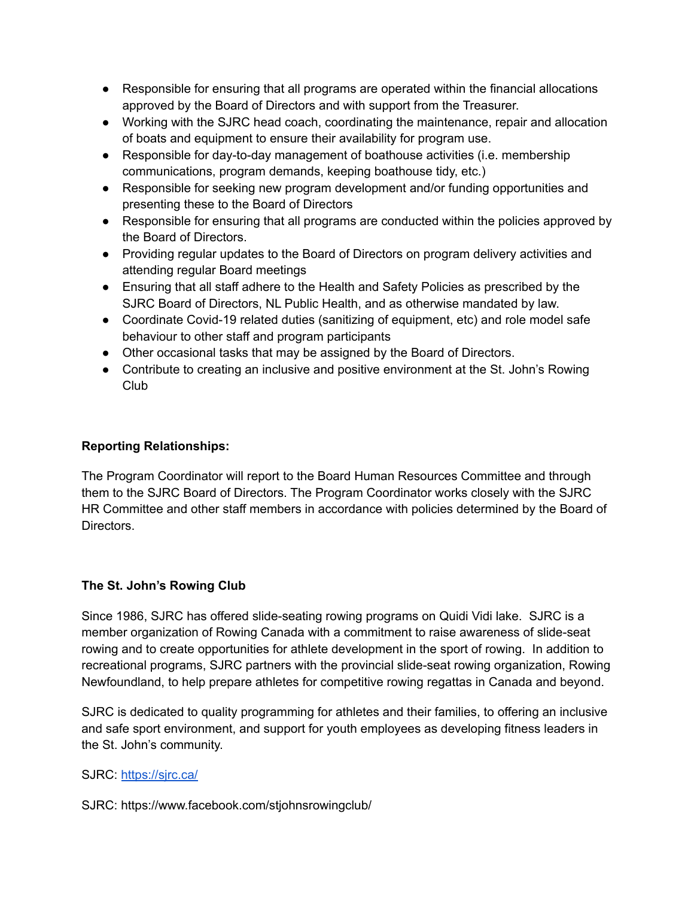- Responsible for ensuring that all programs are operated within the financial allocations approved by the Board of Directors and with support from the Treasurer.
- Working with the SJRC head coach, coordinating the maintenance, repair and allocation of boats and equipment to ensure their availability for program use.
- Responsible for day-to-day management of boathouse activities (i.e. membership communications, program demands, keeping boathouse tidy, etc.)
- Responsible for seeking new program development and/or funding opportunities and presenting these to the Board of Directors
- Responsible for ensuring that all programs are conducted within the policies approved by the Board of Directors.
- Providing regular updates to the Board of Directors on program delivery activities and attending regular Board meetings
- Ensuring that all staff adhere to the Health and Safety Policies as prescribed by the SJRC Board of Directors, NL Public Health, and as otherwise mandated by law.
- Coordinate Covid-19 related duties (sanitizing of equipment, etc) and role model safe behaviour to other staff and program participants
- Other occasional tasks that may be assigned by the Board of Directors.
- Contribute to creating an inclusive and positive environment at the St. John's Rowing Club

# **Reporting Relationships:**

The Program Coordinator will report to the Board Human Resources Committee and through them to the SJRC Board of Directors. The Program Coordinator works closely with the SJRC HR Committee and other staff members in accordance with policies determined by the Board of Directors.

# **The St. John's Rowing Club**

Since 1986, SJRC has offered slide-seating rowing programs on Quidi Vidi lake. SJRC is a member organization of Rowing Canada with a commitment to raise awareness of slide-seat rowing and to create opportunities for athlete development in the sport of rowing. In addition to recreational programs, SJRC partners with the provincial slide-seat rowing organization, Rowing Newfoundland, to help prepare athletes for competitive rowing regattas in Canada and beyond.

SJRC is dedicated to quality programming for athletes and their families, to offering an inclusive and safe sport environment, and support for youth employees as developing fitness leaders in the St. John's community.

# SJRC: <https://sjrc.ca/>

SJRC: https://www.facebook.com/stjohnsrowingclub/